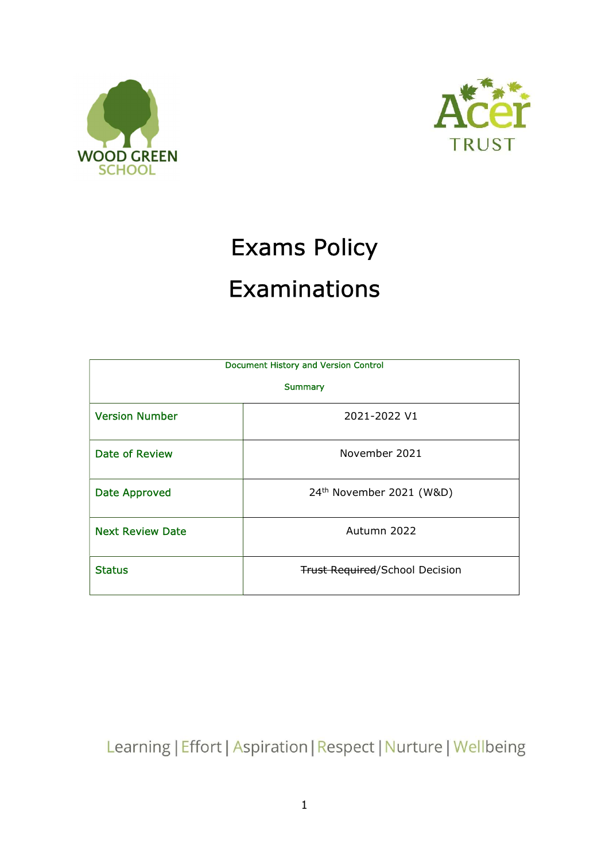



# Exams Policy Examinations

| Document History and Version Control |                                       |  |
|--------------------------------------|---------------------------------------|--|
| <b>Summary</b>                       |                                       |  |
| <b>Version Number</b>                | 2021-2022 V1                          |  |
| Date of Review                       | November 2021                         |  |
| <b>Date Approved</b>                 | 24 <sup>th</sup> November 2021 (W&D)  |  |
| <b>Next Review Date</b>              | Autumn 2022                           |  |
| <b>Status</b>                        | <b>Trust Required/School Decision</b> |  |

Learning | Effort | Aspiration | Respect | Nurture | Wellbeing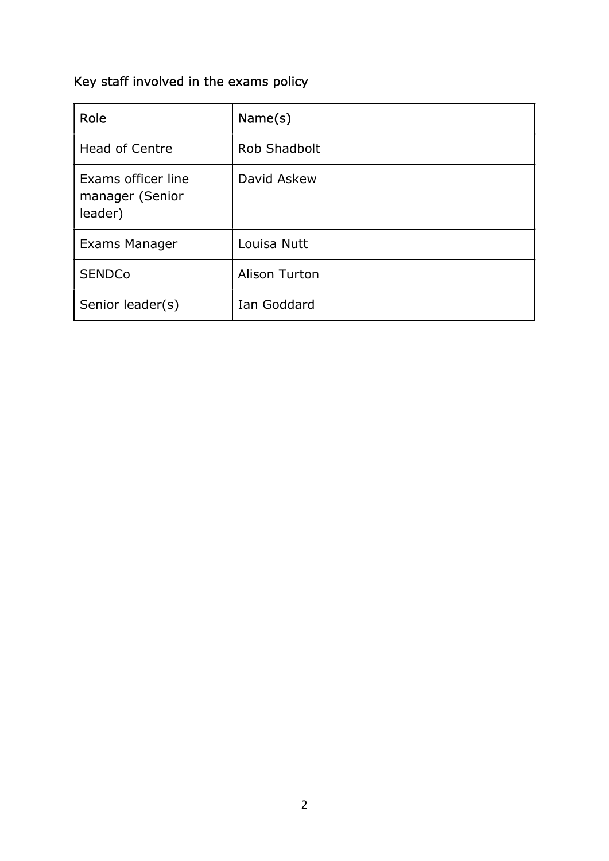# Key staff involved in the exams policy

| Role                                             | Name(s)       |
|--------------------------------------------------|---------------|
| <b>Head of Centre</b>                            | Rob Shadbolt  |
| Exams officer line<br>manager (Senior<br>leader) | David Askew   |
| Exams Manager                                    | Louisa Nutt   |
| <b>SENDCo</b>                                    | Alison Turton |
| Senior leader(s)                                 | Ian Goddard   |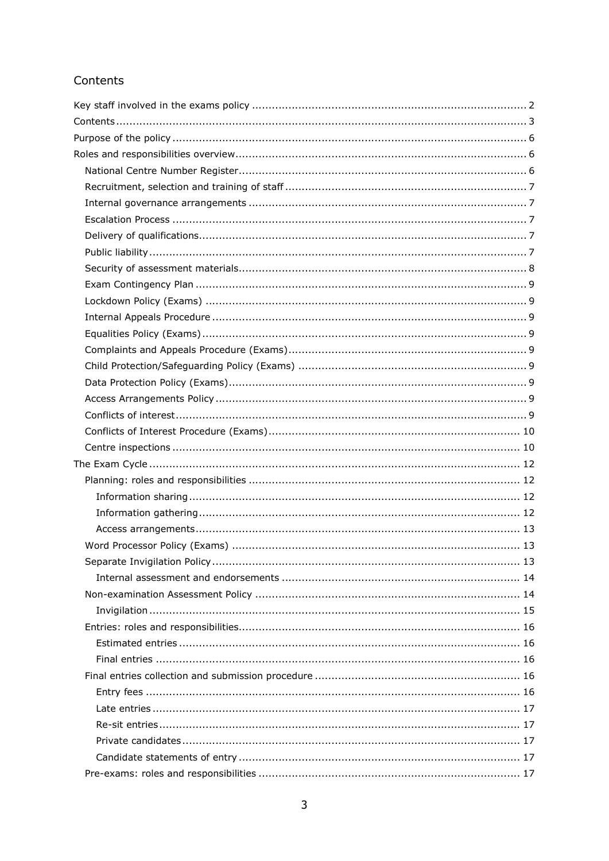# Contents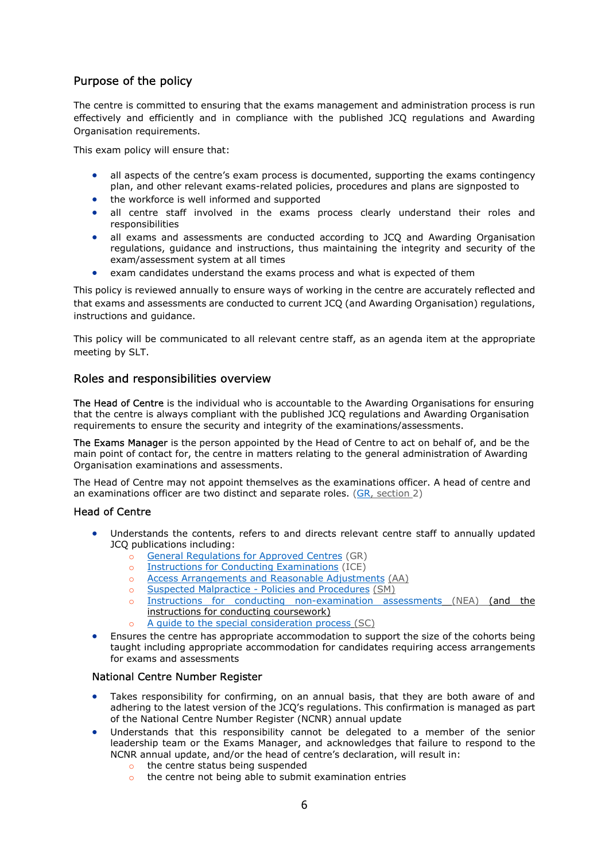## Purpose of the policy

The centre is committed to ensuring that the exams management and administration process is run effectively and efficiently and in compliance with the published JCQ regulations and Awarding Organisation requirements.

This exam policy will ensure that:

- all aspects of the centre's exam process is documented, supporting the exams contingency plan, and other relevant exams-related policies, procedures and plans are signposted to
- the workforce is well informed and supported
- all centre staff involved in the exams process clearly understand their roles and responsibilities
- all exams and assessments are conducted according to JCQ and Awarding Organisation regulations, guidance and instructions, thus maintaining the integrity and security of the exam/assessment system at all times
- exam candidates understand the exams process and what is expected of them

This policy is reviewed annually to ensure ways of working in the centre are accurately reflected and that exams and assessments are conducted to current JCQ (and Awarding Organisation) regulations, instructions and guidance.

This policy will be communicated to all relevant centre staff, as an agenda item at the appropriate meeting by SLT.

## Roles and responsibilities overview

The Head of Centre is the individual who is accountable to the Awarding Organisations for ensuring that the centre is always compliant with the published JCQ regulations and Awarding Organisation requirements to ensure the security and integrity of the examinations/assessments.

The Exams Manager is the person appointed by the Head of Centre to act on behalf of, and be the main point of contact for, the centre in matters relating to the general administration of Awarding Organisation examinations and assessments.

The Head of Centre may not appoint themselves as the examinations officer. A head of centre and an examinations officer are two distinct and separate roles. (GR, section 2)

#### Head of Centre

- Understands the contents, refers to and directs relevant centre staff to annually updated JCQ publications including:
	- o General Regulations for Approved Centres (GR)
	- o Instructions for Conducting Examinations (ICE)
	- o Access Arrangements and Reasonable Adjustments (AA)
	- o Suspected Malpractice Policies and Procedures (SM)
	- o Instructions for conducting non-examination assessments (NEA) (and the instructions for conducting coursework)
	- A quide to the special consideration process (SC)
- Ensures the centre has appropriate accommodation to support the size of the cohorts being taught including appropriate accommodation for candidates requiring access arrangements for exams and assessments

#### National Centre Number Register

- Takes responsibility for confirming, on an annual basis, that they are both aware of and adhering to the latest version of the JCQ's regulations. This confirmation is managed as part of the National Centre Number Register (NCNR) annual update
- Understands that this responsibility cannot be delegated to a member of the senior leadership team or the Exams Manager, and acknowledges that failure to respond to the NCNR annual update, and/or the head of centre's declaration, will result in:
	- o the centre status being suspended
	- o the centre not being able to submit examination entries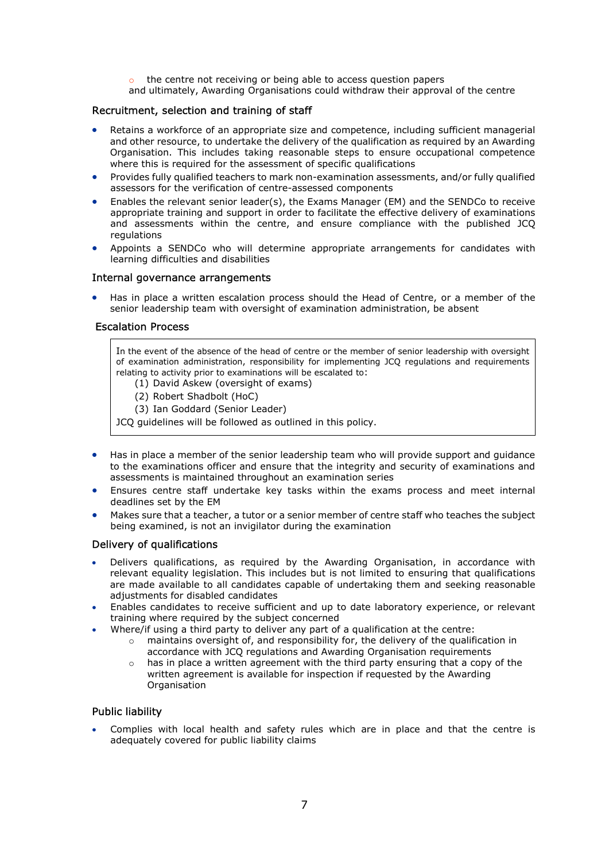- o the centre not receiving or being able to access question papers
- and ultimately, Awarding Organisations could withdraw their approval of the centre

#### Recruitment, selection and training of staff

- Retains a workforce of an appropriate size and competence, including sufficient managerial and other resource, to undertake the delivery of the qualification as required by an Awarding Organisation. This includes taking reasonable steps to ensure occupational competence where this is required for the assessment of specific qualifications
- Provides fully qualified teachers to mark non-examination assessments, and/or fully qualified assessors for the verification of centre-assessed components
- Enables the relevant senior leader(s), the Exams Manager (EM) and the SENDCo to receive appropriate training and support in order to facilitate the effective delivery of examinations and assessments within the centre, and ensure compliance with the published JCQ regulations
- Appoints a SENDCo who will determine appropriate arrangements for candidates with learning difficulties and disabilities

#### Internal governance arrangements

 Has in place a written escalation process should the Head of Centre, or a member of the senior leadership team with oversight of examination administration, be absent

#### Escalation Process

In the event of the absence of the head of centre or the member of senior leadership with oversight of examination administration, responsibility for implementing JCQ regulations and requirements relating to activity prior to examinations will be escalated to:

- (1) David Askew (oversight of exams)
- (2) Robert Shadbolt (HoC)
- (3) Ian Goddard (Senior Leader)

JCQ guidelines will be followed as outlined in this policy.

- Has in place a member of the senior leadership team who will provide support and guidance to the examinations officer and ensure that the integrity and security of examinations and assessments is maintained throughout an examination series
- Ensures centre staff undertake key tasks within the exams process and meet internal deadlines set by the EM
- Makes sure that a teacher, a tutor or a senior member of centre staff who teaches the subject being examined, is not an invigilator during the examination

#### Delivery of qualifications

- Delivers qualifications, as required by the Awarding Organisation, in accordance with relevant equality legislation. This includes but is not limited to ensuring that qualifications are made available to all candidates capable of undertaking them and seeking reasonable adjustments for disabled candidates
- Enables candidates to receive sufficient and up to date laboratory experience, or relevant training where required by the subject concerned
	- Where/if using a third party to deliver any part of a qualification at the centre:
		- o maintains oversight of, and responsibility for, the delivery of the qualification in accordance with JCQ regulations and Awarding Organisation requirements
		- $\circ$  has in place a written agreement with the third party ensuring that a copy of the written agreement is available for inspection if requested by the Awarding **Organisation**

#### Public liability

 Complies with local health and safety rules which are in place and that the centre is adequately covered for public liability claims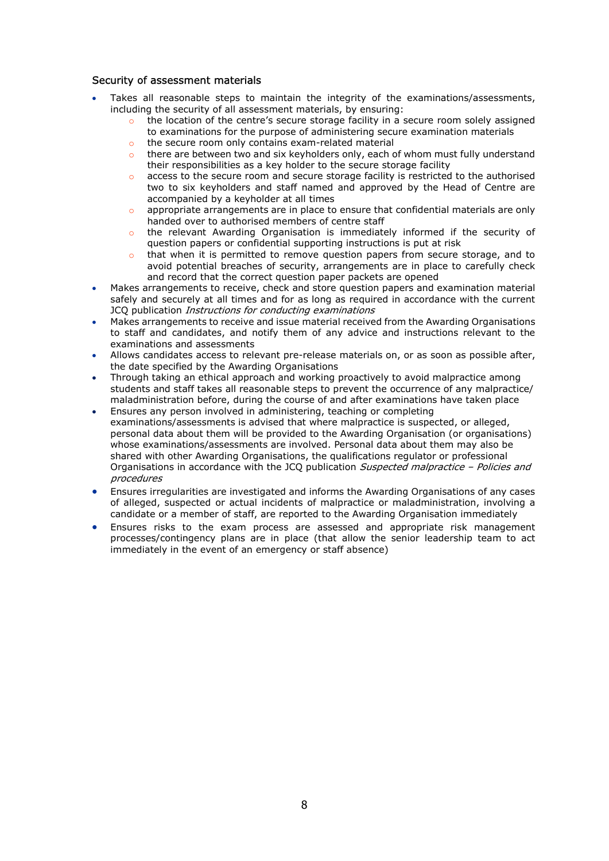#### Security of assessment materials

- Takes all reasonable steps to maintain the integrity of the examinations/assessments, including the security of all assessment materials, by ensuring:
	- the location of the centre's secure storage facility in a secure room solely assigned to examinations for the purpose of administering secure examination materials
	- the secure room only contains exam-related material
	- $\circ$  there are between two and six keyholders only, each of whom must fully understand their responsibilities as a key holder to the secure storage facility
	- o access to the secure room and secure storage facility is restricted to the authorised two to six keyholders and staff named and approved by the Head of Centre are accompanied by a keyholder at all times
	- o appropriate arrangements are in place to ensure that confidential materials are only handed over to authorised members of centre staff
	- o the relevant Awarding Organisation is immediately informed if the security of question papers or confidential supporting instructions is put at risk
	- $\circ$  that when it is permitted to remove question papers from secure storage, and to avoid potential breaches of security, arrangements are in place to carefully check and record that the correct question paper packets are opened
- Makes arrangements to receive, check and store question papers and examination material safely and securely at all times and for as long as required in accordance with the current JCQ publication Instructions for conducting examinations
- Makes arrangements to receive and issue material received from the Awarding Organisations to staff and candidates, and notify them of any advice and instructions relevant to the examinations and assessments
- Allows candidates access to relevant pre-release materials on, or as soon as possible after, the date specified by the Awarding Organisations
- Through taking an ethical approach and working proactively to avoid malpractice among students and staff takes all reasonable steps to prevent the occurrence of any malpractice/ maladministration before, during the course of and after examinations have taken place
- Ensures any person involved in administering, teaching or completing examinations/assessments is advised that where malpractice is suspected, or alleged, personal data about them will be provided to the Awarding Organisation (or organisations) whose examinations/assessments are involved. Personal data about them may also be shared with other Awarding Organisations, the qualifications regulator or professional Organisations in accordance with the JCQ publication Suspected malpractice - Policies and procedures
- Ensures irregularities are investigated and informs the Awarding Organisations of any cases of alleged, suspected or actual incidents of malpractice or maladministration, involving a candidate or a member of staff, are reported to the Awarding Organisation immediately
- Ensures risks to the exam process are assessed and appropriate risk management processes/contingency plans are in place (that allow the senior leadership team to act immediately in the event of an emergency or staff absence)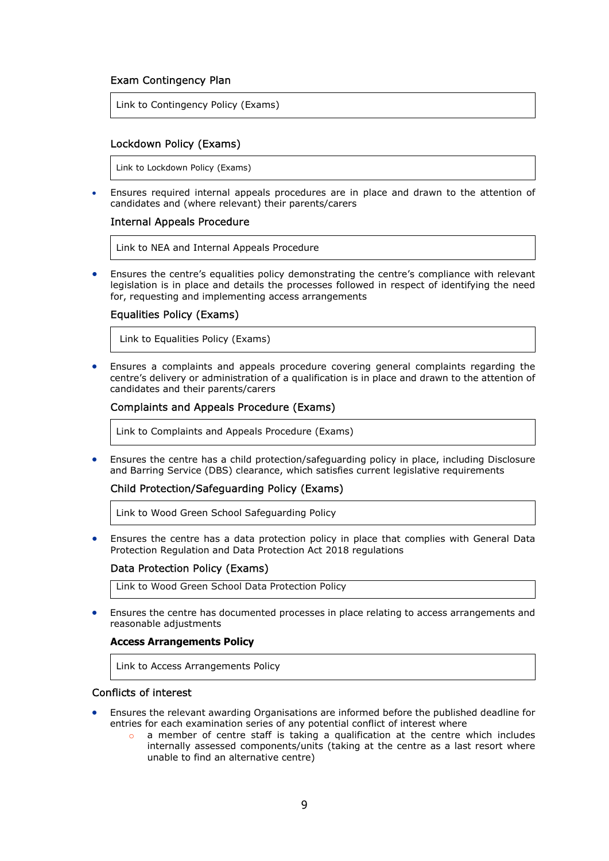#### Exam Contingency Plan

Link to Contingency Policy (Exams)

#### Lockdown Policy (Exams)

Link to Lockdown Policy (Exams)

 Ensures required internal appeals procedures are in place and drawn to the attention of candidates and (where relevant) their parents/carers

#### Internal Appeals Procedure

Link to NEA and Internal Appeals Procedure

 Ensures the centre's equalities policy demonstrating the centre's compliance with relevant legislation is in place and details the processes followed in respect of identifying the need for, requesting and implementing access arrangements

#### Equalities Policy (Exams)

Link to Equalities Policy (Exams)

 Ensures a complaints and appeals procedure covering general complaints regarding the centre's delivery or administration of a qualification is in place and drawn to the attention of candidates and their parents/carers

#### Complaints and Appeals Procedure (Exams)

Link to Complaints and Appeals Procedure (Exams)

 Ensures the centre has a child protection/safeguarding policy in place, including Disclosure and Barring Service (DBS) clearance, which satisfies current legislative requirements

#### Child Protection/Safeguarding Policy (Exams)

Link to Wood Green School Safeguarding Policy

 Ensures the centre has a data protection policy in place that complies with General Data Protection Regulation and Data Protection Act 2018 regulations

#### Data Protection Policy (Exams)

Link to Wood Green School Data Protection Policy

 Ensures the centre has documented processes in place relating to access arrangements and reasonable adjustments

#### Access Arrangements Policy

Link to Access Arrangements Policy

#### Conflicts of interest

- Ensures the relevant awarding Organisations are informed before the published deadline for entries for each examination series of any potential conflict of interest where
	- o a member of centre staff is taking a qualification at the centre which includes internally assessed components/units (taking at the centre as a last resort where unable to find an alternative centre)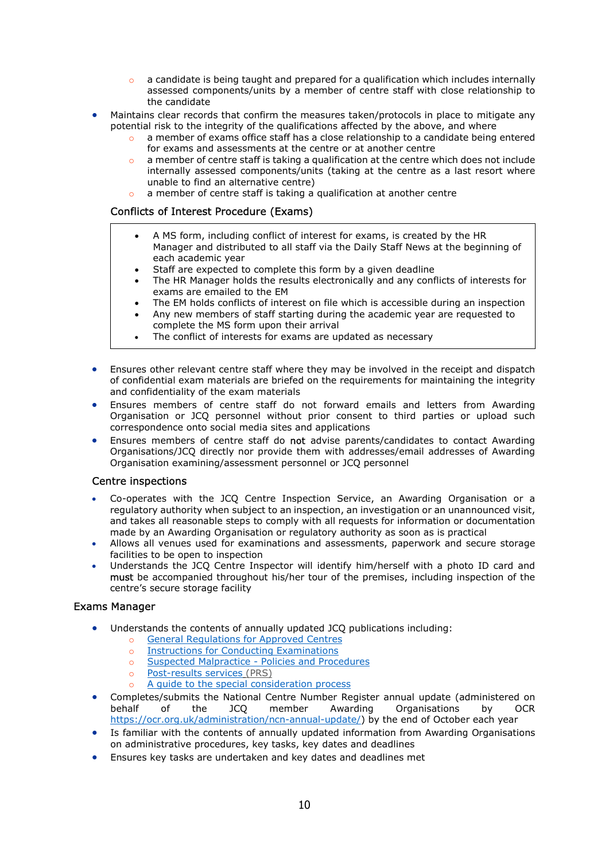- a candidate is being taught and prepared for a qualification which includes internally assessed components/units by a member of centre staff with close relationship to the candidate
- Maintains clear records that confirm the measures taken/protocols in place to mitigate any potential risk to the integrity of the qualifications affected by the above, and where
	- a member of exams office staff has a close relationship to a candidate being entered for exams and assessments at the centre or at another centre
	- a member of centre staff is taking a qualification at the centre which does not include internally assessed components/units (taking at the centre as a last resort where unable to find an alternative centre)
	- o a member of centre staff is taking a qualification at another centre

#### Conflicts of Interest Procedure (Exams)

- A MS form, including conflict of interest for exams, is created by the HR Manager and distributed to all staff via the Daily Staff News at the beginning of each academic year
- Staff are expected to complete this form by a given deadline
- The HR Manager holds the results electronically and any conflicts of interests for exams are emailed to the EM
- The EM holds conflicts of interest on file which is accessible during an inspection
- Any new members of staff starting during the academic year are requested to complete the MS form upon their arrival
- The conflict of interests for exams are updated as necessary
- Ensures other relevant centre staff where they may be involved in the receipt and dispatch of confidential exam materials are briefed on the requirements for maintaining the integrity and confidentiality of the exam materials
- Ensures members of centre staff do not forward emails and letters from Awarding Organisation or JCQ personnel without prior consent to third parties or upload such correspondence onto social media sites and applications
- Ensures members of centre staff do not advise parents/candidates to contact Awarding Organisations/JCQ directly nor provide them with addresses/email addresses of Awarding Organisation examining/assessment personnel or JCQ personnel

#### Centre inspections

- Co-operates with the JCQ Centre Inspection Service, an Awarding Organisation or a regulatory authority when subject to an inspection, an investigation or an unannounced visit, and takes all reasonable steps to comply with all requests for information or documentation made by an Awarding Organisation or regulatory authority as soon as is practical
- Allows all venues used for examinations and assessments, paperwork and secure storage facilities to be open to inspection
- Understands the JCQ Centre Inspector will identify him/herself with a photo ID card and must be accompanied throughout his/her tour of the premises, including inspection of the centre's secure storage facility

#### Exams Manager

- Understands the contents of annually updated JCQ publications including:
	- o General Regulations for Approved Centres
	- o Instructions for Conducting Examinations
	- o Suspected Malpractice Policies and Procedures
	- o Post-results services (PRS)
	- o A guide to the special consideration process
- Completes/submits the National Centre Number Register annual update (administered on behalf of the JCQ member Awarding Organisations by OCR https://ocr.org.uk/administration/ncn-annual-update/) by the end of October each year
- Is familiar with the contents of annually updated information from Awarding Organisations on administrative procedures, key tasks, key dates and deadlines
- Ensures key tasks are undertaken and key dates and deadlines met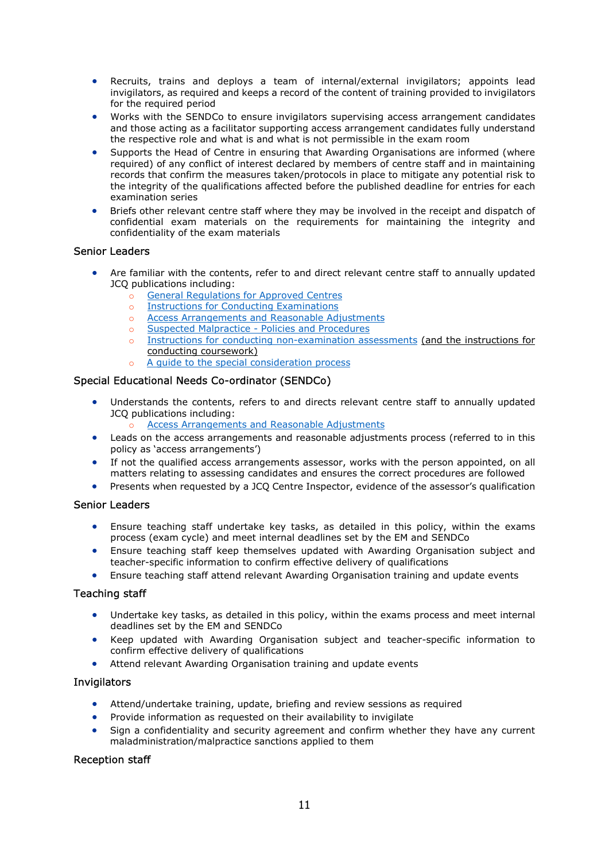- Recruits, trains and deploys a team of internal/external invigilators; appoints lead invigilators, as required and keeps a record of the content of training provided to invigilators for the required period
- Works with the SENDCo to ensure invigilators supervising access arrangement candidates and those acting as a facilitator supporting access arrangement candidates fully understand the respective role and what is and what is not permissible in the exam room
- Supports the Head of Centre in ensuring that Awarding Organisations are informed (where required) of any conflict of interest declared by members of centre staff and in maintaining records that confirm the measures taken/protocols in place to mitigate any potential risk to the integrity of the qualifications affected before the published deadline for entries for each examination series
- Briefs other relevant centre staff where they may be involved in the receipt and dispatch of confidential exam materials on the requirements for maintaining the integrity and confidentiality of the exam materials

## Senior Leaders

- Are familiar with the contents, refer to and direct relevant centre staff to annually updated JCQ publications including:
	- o General Regulations for Approved Centres
	- o Instructions for Conducting Examinations
	- o Access Arrangements and Reasonable Adjustments
	- o Suspected Malpractice Policies and Procedures
	- o Instructions for conducting non-examination assessments (and the instructions for conducting coursework)
		- A guide to the special consideration process

## Special Educational Needs Co-ordinator (SENDCo)

- Understands the contents, refers to and directs relevant centre staff to annually updated JCQ publications including:
	- Access Arrangements and Reasonable Adjustments
- Leads on the access arrangements and reasonable adjustments process (referred to in this policy as 'access arrangements')
- If not the qualified access arrangements assessor, works with the person appointed, on all matters relating to assessing candidates and ensures the correct procedures are followed
- Presents when requested by a JCQ Centre Inspector, evidence of the assessor's qualification

#### Senior Leaders

- Ensure teaching staff undertake key tasks, as detailed in this policy, within the exams process (exam cycle) and meet internal deadlines set by the EM and SENDCo
- Ensure teaching staff keep themselves updated with Awarding Organisation subject and teacher-specific information to confirm effective delivery of qualifications
- Ensure teaching staff attend relevant Awarding Organisation training and update events

#### Teaching staff

- Undertake key tasks, as detailed in this policy, within the exams process and meet internal deadlines set by the EM and SENDCo
- Keep updated with Awarding Organisation subject and teacher-specific information to confirm effective delivery of qualifications
- Attend relevant Awarding Organisation training and update events

#### **Invigilators**

- Attend/undertake training, update, briefing and review sessions as required
- Provide information as requested on their availability to invigilate
- Sign a confidentiality and security agreement and confirm whether they have any current maladministration/malpractice sanctions applied to them

## Reception staff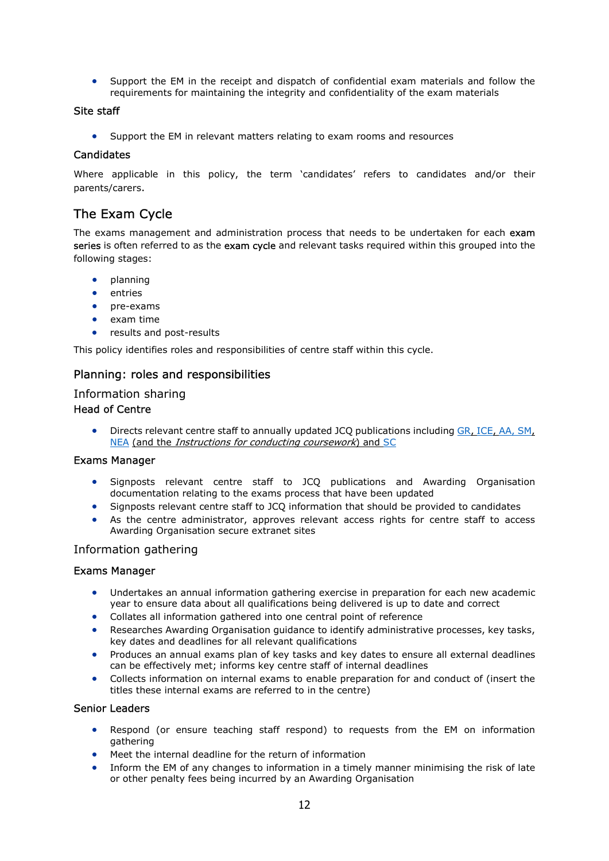Support the EM in the receipt and dispatch of confidential exam materials and follow the requirements for maintaining the integrity and confidentiality of the exam materials

### Site staff

Support the EM in relevant matters relating to exam rooms and resources

## **Candidates**

Where applicable in this policy, the term 'candidates' refers to candidates and/or their parents/carers.

## The Exam Cycle

The exams management and administration process that needs to be undertaken for each exam series is often referred to as the exam cycle and relevant tasks required within this grouped into the following stages:

- planning
- entries
- pre-exams
- exam time
- results and post-results

This policy identifies roles and responsibilities of centre staff within this cycle.

## Planning: roles and responsibilities

## Information sharing

## Head of Centre

 Directs relevant centre staff to annually updated JCQ publications including GR, ICE, AA, SM, NEA (and the Instructions for conducting coursework) and SC

#### Exams Manager

- Signposts relevant centre staff to JCQ publications and Awarding Organisation documentation relating to the exams process that have been updated
- Signposts relevant centre staff to JCQ information that should be provided to candidates
- As the centre administrator, approves relevant access rights for centre staff to access Awarding Organisation secure extranet sites

## Information gathering

#### Exams Manager

- Undertakes an annual information gathering exercise in preparation for each new academic year to ensure data about all qualifications being delivered is up to date and correct
- Collates all information gathered into one central point of reference
- Researches Awarding Organisation guidance to identify administrative processes, key tasks, key dates and deadlines for all relevant qualifications
- Produces an annual exams plan of key tasks and key dates to ensure all external deadlines can be effectively met; informs key centre staff of internal deadlines
- Collects information on internal exams to enable preparation for and conduct of (insert the titles these internal exams are referred to in the centre)

#### Senior Leaders

- Respond (or ensure teaching staff respond) to requests from the EM on information gathering
- Meet the internal deadline for the return of information
- Inform the EM of any changes to information in a timely manner minimising the risk of late or other penalty fees being incurred by an Awarding Organisation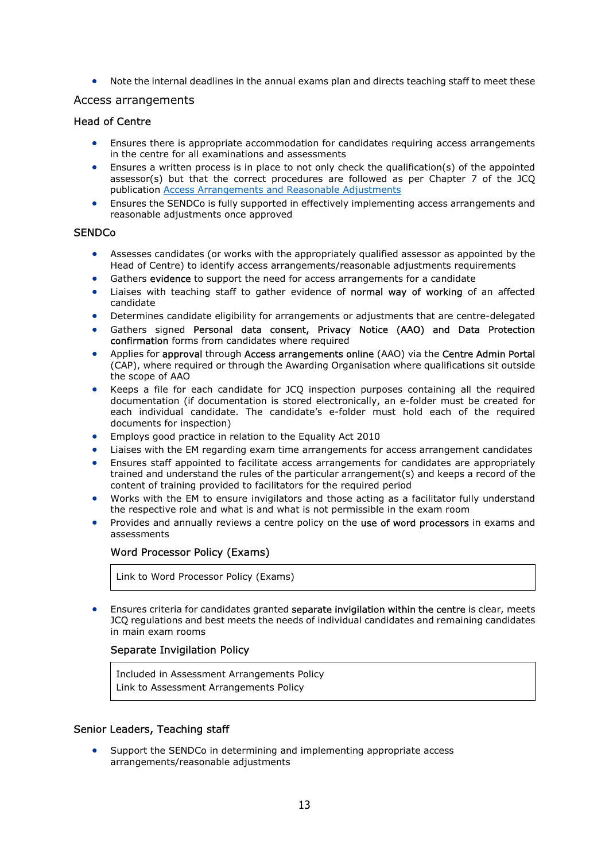Note the internal deadlines in the annual exams plan and directs teaching staff to meet these

### Access arrangements

#### Head of Centre

- Ensures there is appropriate accommodation for candidates requiring access arrangements in the centre for all examinations and assessments
- Ensures a written process is in place to not only check the qualification(s) of the appointed assessor(s) but that the correct procedures are followed as per Chapter 7 of the JCQ publication Access Arrangements and Reasonable Adjustments
- Ensures the SENDCo is fully supported in effectively implementing access arrangements and reasonable adjustments once approved

#### **SENDCo**

- Assesses candidates (or works with the appropriately qualified assessor as appointed by the Head of Centre) to identify access arrangements/reasonable adjustments requirements
- Gathers evidence to support the need for access arrangements for a candidate
- Liaises with teaching staff to gather evidence of normal way of working of an affected candidate
- Determines candidate eligibility for arrangements or adjustments that are centre-delegated
- Gathers signed Personal data consent, Privacy Notice (AAO) and Data Protection confirmation forms from candidates where required
- Applies for approval through Access arrangements online (AAO) via the Centre Admin Portal (CAP), where required or through the Awarding Organisation where qualifications sit outside the scope of AAO
- Keeps a file for each candidate for JCQ inspection purposes containing all the required documentation (if documentation is stored electronically, an e-folder must be created for each individual candidate. The candidate's e-folder must hold each of the required documents for inspection)
- Employs good practice in relation to the Equality Act 2010
- Liaises with the EM regarding exam time arrangements for access arrangement candidates
- Ensures staff appointed to facilitate access arrangements for candidates are appropriately trained and understand the rules of the particular arrangement(s) and keeps a record of the content of training provided to facilitators for the required period
- Works with the EM to ensure invigilators and those acting as a facilitator fully understand the respective role and what is and what is not permissible in the exam room
- Provides and annually reviews a centre policy on the use of word processors in exams and assessments

#### Word Processor Policy (Exams)

Link to Word Processor Policy (Exams)

**Ensures criteria for candidates granted separate invigilation within the centre is clear, meets** JCQ regulations and best meets the needs of individual candidates and remaining candidates in main exam rooms

#### Separate Invigilation Policy

Included in Assessment Arrangements Policy Link to Assessment Arrangements Policy

#### Senior Leaders, Teaching staff

 Support the SENDCo in determining and implementing appropriate access arrangements/reasonable adjustments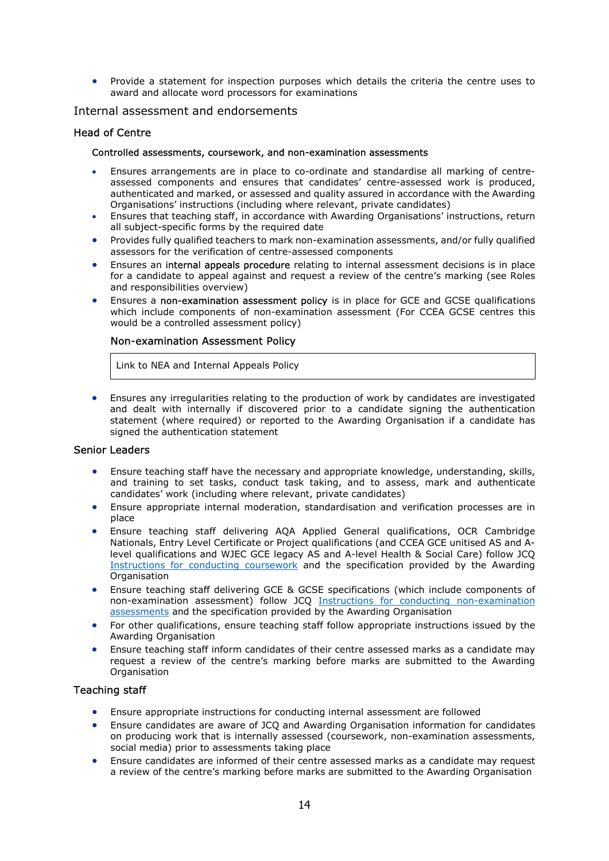Provide a statement for inspection purposes which details the criteria the centre uses to award and allocate word processors for examinations

#### Internal assessment and endorsements

#### Head of Centre

#### Controlled assessments, coursework, and non-examination assessments

- Ensures arrangements are in place to co-ordinate and standardise all marking of centreassessed components and ensures that candidates' centre-assessed work is produced, authenticated and marked, or assessed and quality assured in accordance with the Awarding Organisations' instructions (including where relevant, private candidates)
- Ensures that teaching staff, in accordance with Awarding Organisations' instructions, return all subject-specific forms by the required date
- Provides fully qualified teachers to mark non-examination assessments, and/or fully qualified assessors for the verification of centre-assessed components
- Ensures an internal appeals procedure relating to internal assessment decisions is in place for a candidate to appeal against and request a review of the centre's marking (see Roles and responsibilities overview)
- Ensures a non-examination assessment policy is in place for GCE and GCSE qualifications which include components of non-examination assessment (For CCEA GCSE centres this would be a controlled assessment policy)

#### Non-examination Assessment Policy

Link to NEA and Internal Appeals Policy

 Ensures any irregularities relating to the production of work by candidates are investigated and dealt with internally if discovered prior to a candidate signing the authentication statement (where required) or reported to the Awarding Organisation if a candidate has signed the authentication statement

#### Senior Leaders

- Ensure teaching staff have the necessary and appropriate knowledge, understanding, skills, and training to set tasks, conduct task taking, and to assess, mark and authenticate candidates' work (including where relevant, private candidates)
- Ensure appropriate internal moderation, standardisation and verification processes are in place
- Ensure teaching staff delivering AQA Applied General qualifications, OCR Cambridge Nationals, Entry Level Certificate or Project qualifications (and CCEA GCE unitised AS and Alevel qualifications and WJEC GCE legacy AS and A-level Health & Social Care) follow JCQ Instructions for conducting coursework and the specification provided by the Awarding **Organisation**
- Ensure teaching staff delivering GCE & GCSE specifications (which include components of non-examination assessment) follow JCQ Instructions for conducting non-examination assessments and the specification provided by the Awarding Organisation
- For other qualifications, ensure teaching staff follow appropriate instructions issued by the Awarding Organisation
- Ensure teaching staff inform candidates of their centre assessed marks as a candidate may request a review of the centre's marking before marks are submitted to the Awarding **Organisation**

#### Teaching staff

- Ensure appropriate instructions for conducting internal assessment are followed
- Ensure candidates are aware of JCQ and Awarding Organisation information for candidates on producing work that is internally assessed (coursework, non-examination assessments, social media) prior to assessments taking place
- Ensure candidates are informed of their centre assessed marks as a candidate may request a review of the centre's marking before marks are submitted to the Awarding Organisation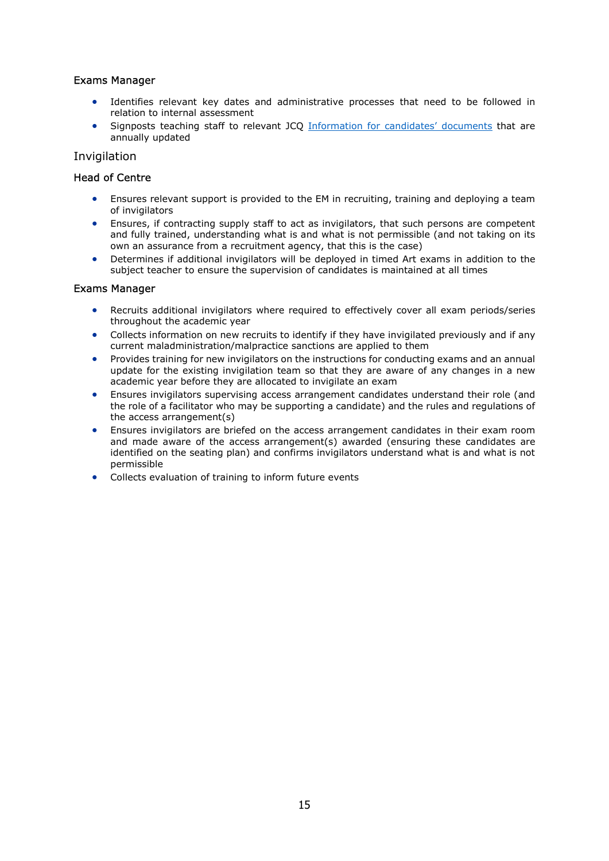## Exams Manager

- Identifies relevant key dates and administrative processes that need to be followed in relation to internal assessment
- Signposts teaching staff to relevant JCQ Information for candidates' documents that are annually updated

### Invigilation

### Head of Centre

- Ensures relevant support is provided to the EM in recruiting, training and deploying a team of invigilators
- Ensures, if contracting supply staff to act as invigilators, that such persons are competent and fully trained, understanding what is and what is not permissible (and not taking on its own an assurance from a recruitment agency, that this is the case)
- Determines if additional invigilators will be deployed in timed Art exams in addition to the subject teacher to ensure the supervision of candidates is maintained at all times

#### Exams Manager

- Recruits additional invigilators where required to effectively cover all exam periods/series throughout the academic year
- Collects information on new recruits to identify if they have invigilated previously and if any current maladministration/malpractice sanctions are applied to them
- Provides training for new invigilators on the instructions for conducting exams and an annual update for the existing invigilation team so that they are aware of any changes in a new academic year before they are allocated to invigilate an exam
- Ensures invigilators supervising access arrangement candidates understand their role (and the role of a facilitator who may be supporting a candidate) and the rules and regulations of the access arrangement(s)
- Ensures invigilators are briefed on the access arrangement candidates in their exam room and made aware of the access arrangement(s) awarded (ensuring these candidates are identified on the seating plan) and confirms invigilators understand what is and what is not permissible
- Collects evaluation of training to inform future events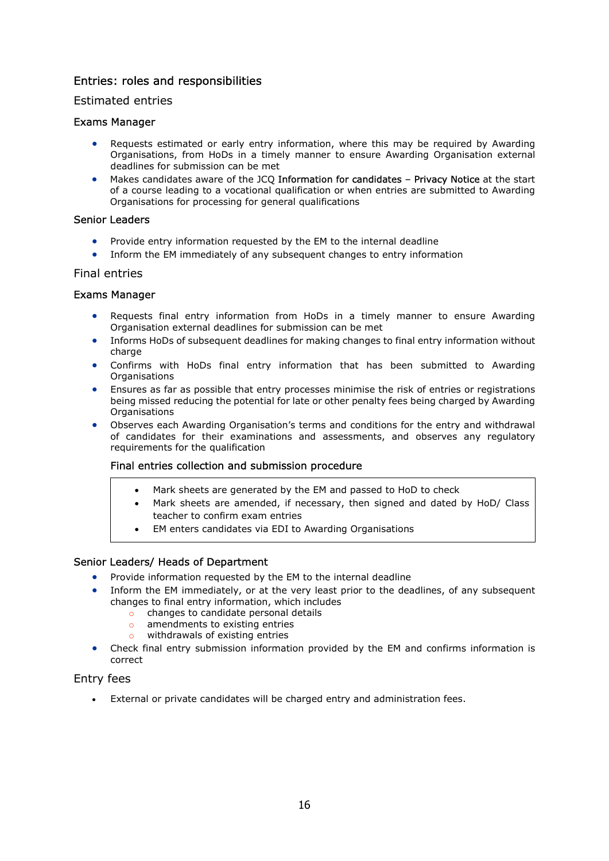## Entries: roles and responsibilities

## Estimated entries

## Exams Manager

- Requests estimated or early entry information, where this may be required by Awarding Organisations, from HoDs in a timely manner to ensure Awarding Organisation external deadlines for submission can be met
- Makes candidates aware of the JCQ Information for candidates Privacy Notice at the start of a course leading to a vocational qualification or when entries are submitted to Awarding Organisations for processing for general qualifications

### Senior Leaders

- Provide entry information requested by the EM to the internal deadline
- Inform the EM immediately of any subsequent changes to entry information

## Final entries

## Exams Manager

- Requests final entry information from HoDs in a timely manner to ensure Awarding Organisation external deadlines for submission can be met
- Informs HoDs of subsequent deadlines for making changes to final entry information without charge
- Confirms with HoDs final entry information that has been submitted to Awarding **Organisations**
- Ensures as far as possible that entry processes minimise the risk of entries or registrations being missed reducing the potential for late or other penalty fees being charged by Awarding **Organisations**
- Observes each Awarding Organisation's terms and conditions for the entry and withdrawal of candidates for their examinations and assessments, and observes any regulatory requirements for the qualification

#### Final entries collection and submission procedure

- Mark sheets are generated by the EM and passed to HoD to check
- Mark sheets are amended, if necessary, then signed and dated by HoD/ Class teacher to confirm exam entries
- EM enters candidates via EDI to Awarding Organisations

## Senior Leaders/ Heads of Department

- Provide information requested by the EM to the internal deadline
- Inform the EM immediately, or at the very least prior to the deadlines, of any subsequent changes to final entry information, which includes
	- o changes to candidate personal details
	- o amendments to existing entries
	- o withdrawals of existing entries
- Check final entry submission information provided by the EM and confirms information is correct

## Entry fees

External or private candidates will be charged entry and administration fees.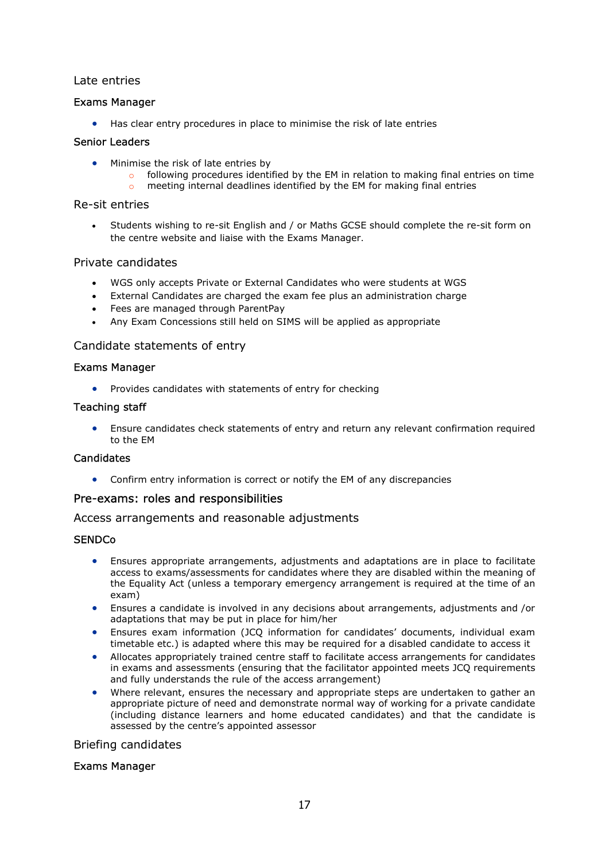## Late entries

## Exams Manager

Has clear entry procedures in place to minimise the risk of late entries

## Senior Leaders

- Minimise the risk of late entries by
	- $\circ$  following procedures identified by the EM in relation to making final entries on time
	- o meeting internal deadlines identified by the EM for making final entries

## Re-sit entries

 Students wishing to re-sit English and / or Maths GCSE should complete the re-sit form on the centre website and liaise with the Exams Manager.

## Private candidates

- WGS only accepts Private or External Candidates who were students at WGS
- External Candidates are charged the exam fee plus an administration charge
- Fees are managed through ParentPay
- Any Exam Concessions still held on SIMS will be applied as appropriate

## Candidate statements of entry

## Exams Manager

• Provides candidates with statements of entry for checking

## Teaching staff

 Ensure candidates check statements of entry and return any relevant confirmation required to the EM

## Candidates

Confirm entry information is correct or notify the EM of any discrepancies

## Pre-exams: roles and responsibilities

Access arrangements and reasonable adjustments

## **SENDCo**

- Ensures appropriate arrangements, adjustments and adaptations are in place to facilitate access to exams/assessments for candidates where they are disabled within the meaning of the Equality Act (unless a temporary emergency arrangement is required at the time of an exam)
- Ensures a candidate is involved in any decisions about arrangements, adjustments and /or adaptations that may be put in place for him/her
- Ensures exam information (JCQ information for candidates' documents, individual exam timetable etc.) is adapted where this may be required for a disabled candidate to access it
- Allocates appropriately trained centre staff to facilitate access arrangements for candidates in exams and assessments (ensuring that the facilitator appointed meets JCQ requirements and fully understands the rule of the access arrangement)
- Where relevant, ensures the necessary and appropriate steps are undertaken to gather an appropriate picture of need and demonstrate normal way of working for a private candidate (including distance learners and home educated candidates) and that the candidate is assessed by the centre's appointed assessor

#### Briefing candidates

#### Exams Manager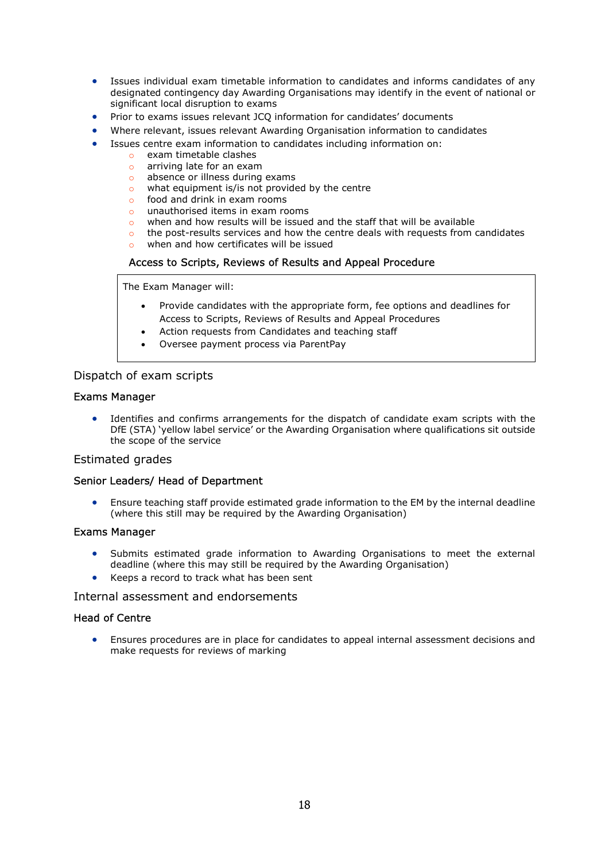- Issues individual exam timetable information to candidates and informs candidates of any designated contingency day Awarding Organisations may identify in the event of national or significant local disruption to exams
- Prior to exams issues relevant JCQ information for candidates' documents
- Where relevant, issues relevant Awarding Organisation information to candidates
- Issues centre exam information to candidates including information on:
	- o exam timetable clashes
	- o arriving late for an exam
	- o absence or illness during exams
	- $\circ$  what equipment is/is not provided by the centre
	- o food and drink in exam rooms
	- o unauthorised items in exam rooms
	- o when and how results will be issued and the staff that will be available
	- $\circ$  the post-results services and how the centre deals with requests from candidates
	- when and how certificates will be issued

## Access to Scripts, Reviews of Results and Appeal Procedure

The Exam Manager will:

- Provide candidates with the appropriate form, fee options and deadlines for Access to Scripts, Reviews of Results and Appeal Procedures
- Action requests from Candidates and teaching staff
- Oversee payment process via ParentPay

## Dispatch of exam scripts

#### Exams Manager

 Identifies and confirms arrangements for the dispatch of candidate exam scripts with the DfE (STA) 'yellow label service' or the Awarding Organisation where qualifications sit outside the scope of the service

#### Estimated grades

#### Senior Leaders/ Head of Department

 Ensure teaching staff provide estimated grade information to the EM by the internal deadline (where this still may be required by the Awarding Organisation)

#### Exams Manager

- Submits estimated grade information to Awarding Organisations to meet the external deadline (where this may still be required by the Awarding Organisation)
- Keeps a record to track what has been sent

#### Internal assessment and endorsements

#### Head of Centre

 Ensures procedures are in place for candidates to appeal internal assessment decisions and make requests for reviews of marking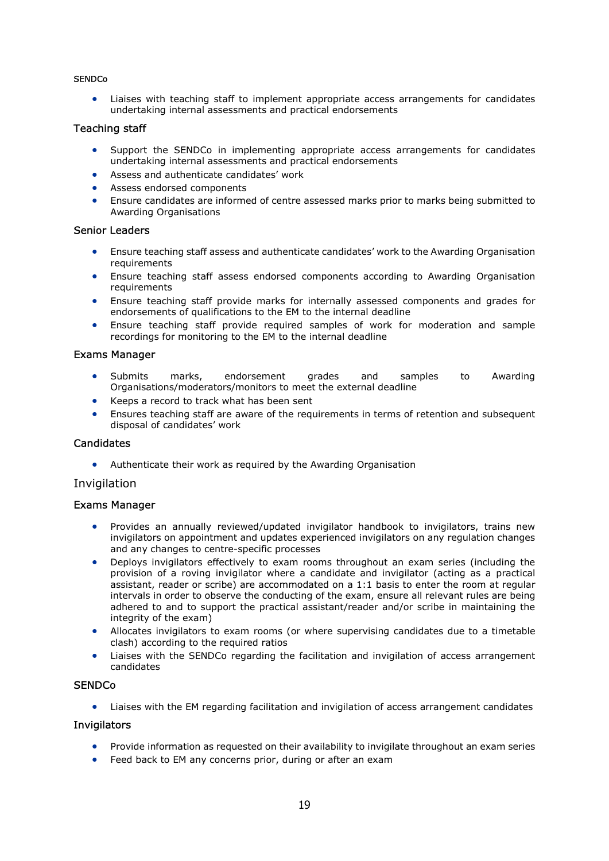#### **SENDCo**

 Liaises with teaching staff to implement appropriate access arrangements for candidates undertaking internal assessments and practical endorsements

#### Teaching staff

- Support the SENDCo in implementing appropriate access arrangements for candidates undertaking internal assessments and practical endorsements
- Assess and authenticate candidates' work
- Assess endorsed components
- Ensure candidates are informed of centre assessed marks prior to marks being submitted to Awarding Organisations

#### Senior Leaders

- Ensure teaching staff assess and authenticate candidates' work to the Awarding Organisation requirements
- Ensure teaching staff assess endorsed components according to Awarding Organisation requirements
- Ensure teaching staff provide marks for internally assessed components and grades for endorsements of qualifications to the EM to the internal deadline
- Ensure teaching staff provide required samples of work for moderation and sample recordings for monitoring to the EM to the internal deadline

#### Exams Manager

- Submits marks, endorsement grades and samples to Awarding Organisations/moderators/monitors to meet the external deadline
- Keeps a record to track what has been sent
- Ensures teaching staff are aware of the requirements in terms of retention and subsequent disposal of candidates' work

#### **Candidates**

Authenticate their work as required by the Awarding Organisation

#### Invigilation

#### Exams Manager

- Provides an annually reviewed/updated invigilator handbook to invigilators, trains new invigilators on appointment and updates experienced invigilators on any regulation changes and any changes to centre-specific processes
- Deploys invigilators effectively to exam rooms throughout an exam series (including the provision of a roving invigilator where a candidate and invigilator (acting as a practical assistant, reader or scribe) are accommodated on a 1:1 basis to enter the room at regular intervals in order to observe the conducting of the exam, ensure all relevant rules are being adhered to and to support the practical assistant/reader and/or scribe in maintaining the integrity of the exam)
- Allocates invigilators to exam rooms (or where supervising candidates due to a timetable clash) according to the required ratios
- Liaises with the SENDCo regarding the facilitation and invigilation of access arrangement candidates

#### **SENDCo**

Liaises with the EM regarding facilitation and invigilation of access arrangement candidates

#### Invigilators

- Provide information as requested on their availability to invigilate throughout an exam series
- **•** Feed back to EM any concerns prior, during or after an exam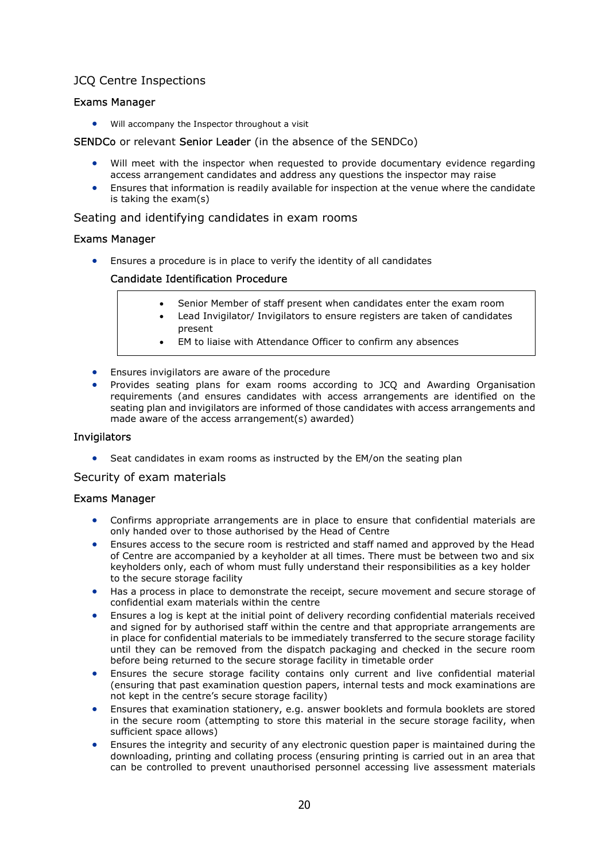## JCQ Centre Inspections

## Exams Manager

Will accompany the Inspector throughout a visit

### SENDCo or relevant Senior Leader (in the absence of the SENDCo)

- Will meet with the inspector when requested to provide documentary evidence regarding access arrangement candidates and address any questions the inspector may raise
- Ensures that information is readily available for inspection at the venue where the candidate is taking the exam(s)

#### Seating and identifying candidates in exam rooms

## Exams Manager

Ensures a procedure is in place to verify the identity of all candidates

#### Candidate Identification Procedure

- Senior Member of staff present when candidates enter the exam room
- Lead Invigilator/ Invigilators to ensure registers are taken of candidates present
- EM to liaise with Attendance Officer to confirm any absences
- **•** Ensures invigilators are aware of the procedure
- Provides seating plans for exam rooms according to JCQ and Awarding Organisation requirements (and ensures candidates with access arrangements are identified on the seating plan and invigilators are informed of those candidates with access arrangements and made aware of the access arrangement(s) awarded)

#### Invigilators

• Seat candidates in exam rooms as instructed by the EM/on the seating plan

Security of exam materials

#### Exams Manager

- Confirms appropriate arrangements are in place to ensure that confidential materials are only handed over to those authorised by the Head of Centre
- Ensures access to the secure room is restricted and staff named and approved by the Head of Centre are accompanied by a keyholder at all times. There must be between two and six keyholders only, each of whom must fully understand their responsibilities as a key holder to the secure storage facility
- Has a process in place to demonstrate the receipt, secure movement and secure storage of confidential exam materials within the centre
- Ensures a log is kept at the initial point of delivery recording confidential materials received and signed for by authorised staff within the centre and that appropriate arrangements are in place for confidential materials to be immediately transferred to the secure storage facility until they can be removed from the dispatch packaging and checked in the secure room before being returned to the secure storage facility in timetable order
- Ensures the secure storage facility contains only current and live confidential material (ensuring that past examination question papers, internal tests and mock examinations are not kept in the centre's secure storage facility)
- Ensures that examination stationery, e.g. answer booklets and formula booklets are stored in the secure room (attempting to store this material in the secure storage facility, when sufficient space allows)
- Ensures the integrity and security of any electronic question paper is maintained during the downloading, printing and collating process (ensuring printing is carried out in an area that can be controlled to prevent unauthorised personnel accessing live assessment materials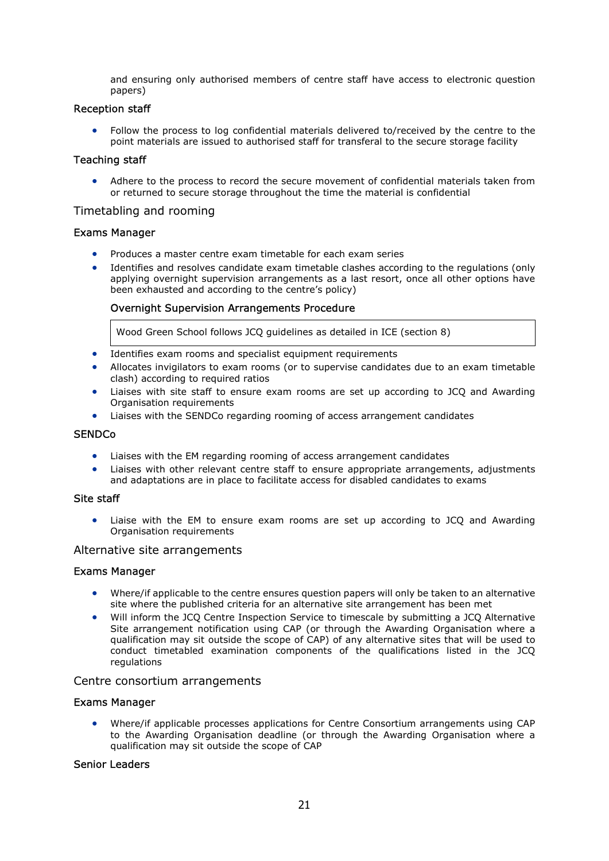and ensuring only authorised members of centre staff have access to electronic question papers)

#### Reception staff

 Follow the process to log confidential materials delivered to/received by the centre to the point materials are issued to authorised staff for transferal to the secure storage facility

#### Teaching staff

 Adhere to the process to record the secure movement of confidential materials taken from or returned to secure storage throughout the time the material is confidential

#### Timetabling and rooming

#### Exams Manager

- Produces a master centre exam timetable for each exam series
- Identifies and resolves candidate exam timetable clashes according to the regulations (only applying overnight supervision arrangements as a last resort, once all other options have been exhausted and according to the centre's policy)

#### Overnight Supervision Arrangements Procedure

Wood Green School follows JCQ guidelines as detailed in ICE (section 8)

- Identifies exam rooms and specialist equipment requirements
- Allocates invigilators to exam rooms (or to supervise candidates due to an exam timetable clash) according to required ratios
- Liaises with site staff to ensure exam rooms are set up according to JCQ and Awarding Organisation requirements
- Liaises with the SENDCo regarding rooming of access arrangement candidates

#### **SENDCo**

- Liaises with the EM regarding rooming of access arrangement candidates
- Liaises with other relevant centre staff to ensure appropriate arrangements, adjustments and adaptations are in place to facilitate access for disabled candidates to exams

#### Site staff

 Liaise with the EM to ensure exam rooms are set up according to JCQ and Awarding Organisation requirements

#### Alternative site arrangements

#### Exams Manager

- Where/if applicable to the centre ensures question papers will only be taken to an alternative site where the published criteria for an alternative site arrangement has been met
- Will inform the JCQ Centre Inspection Service to timescale by submitting a JCQ Alternative Site arrangement notification using CAP (or through the Awarding Organisation where a qualification may sit outside the scope of CAP) of any alternative sites that will be used to conduct timetabled examination components of the qualifications listed in the JCQ regulations

#### Centre consortium arrangements

#### Exams Manager

 Where/if applicable processes applications for Centre Consortium arrangements using CAP to the Awarding Organisation deadline (or through the Awarding Organisation where a qualification may sit outside the scope of CAP

#### Senior Leaders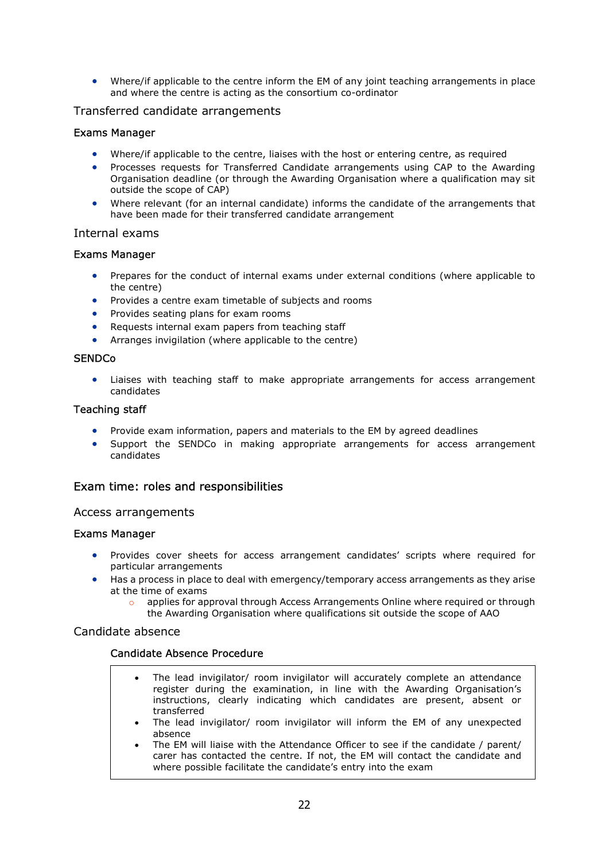Where/if applicable to the centre inform the EM of any joint teaching arrangements in place and where the centre is acting as the consortium co-ordinator

## Transferred candidate arrangements

## Exams Manager

- Where/if applicable to the centre, liaises with the host or entering centre, as required
- Processes requests for Transferred Candidate arrangements using CAP to the Awarding Organisation deadline (or through the Awarding Organisation where a qualification may sit outside the scope of CAP)
- Where relevant (for an internal candidate) informs the candidate of the arrangements that have been made for their transferred candidate arrangement

#### Internal exams

#### Exams Manager

- Prepares for the conduct of internal exams under external conditions (where applicable to the centre)
- Provides a centre exam timetable of subjects and rooms
- Provides seating plans for exam rooms
- Requests internal exam papers from teaching staff
- Arranges invigilation (where applicable to the centre)

#### **SENDCo**

 Liaises with teaching staff to make appropriate arrangements for access arrangement candidates

#### Teaching staff

- Provide exam information, papers and materials to the EM by agreed deadlines
- Support the SENDCo in making appropriate arrangements for access arrangement candidates

## Exam time: roles and responsibilities

#### Access arrangements

#### Exams Manager

- Provides cover sheets for access arrangement candidates' scripts where required for particular arrangements
- Has a process in place to deal with emergency/temporary access arrangements as they arise at the time of exams
	- applies for approval through Access Arrangements Online where required or through the Awarding Organisation where qualifications sit outside the scope of AAO

#### Candidate absence

#### Candidate Absence Procedure

- The lead invigilator/ room invigilator will accurately complete an attendance register during the examination, in line with the Awarding Organisation's instructions, clearly indicating which candidates are present, absent or transferred
- The lead invigilator/ room invigilator will inform the EM of any unexpected absence
- The EM will liaise with the Attendance Officer to see if the candidate / parent/ carer has contacted the centre. If not, the EM will contact the candidate and where possible facilitate the candidate's entry into the exam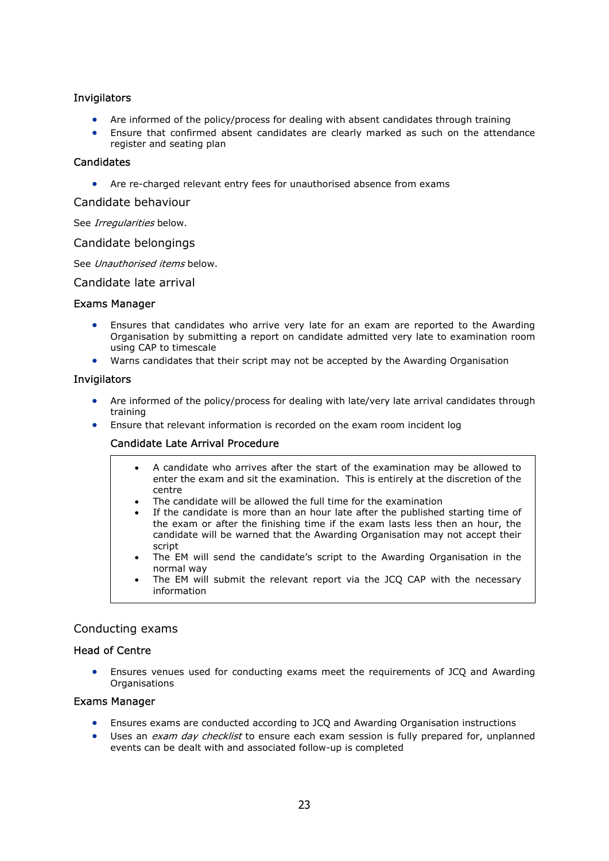## Invigilators

- Are informed of the policy/process for dealing with absent candidates through training
- Ensure that confirmed absent candidates are clearly marked as such on the attendance register and seating plan

## **Candidates**

Are re-charged relevant entry fees for unauthorised absence from exams

Candidate behaviour

See Irregularities below.

Candidate belongings

See Unauthorised items below.

Candidate late arrival

#### Exams Manager

- Ensures that candidates who arrive very late for an exam are reported to the Awarding Organisation by submitting a report on candidate admitted very late to examination room using CAP to timescale
- Warns candidates that their script may not be accepted by the Awarding Organisation

#### **Invigilators**

- Are informed of the policy/process for dealing with late/very late arrival candidates through training
- Ensure that relevant information is recorded on the exam room incident log

## Candidate Late Arrival Procedure

- A candidate who arrives after the start of the examination may be allowed to enter the exam and sit the examination. This is entirely at the discretion of the centre
- The candidate will be allowed the full time for the examination
- If the candidate is more than an hour late after the published starting time of the exam or after the finishing time if the exam lasts less then an hour, the candidate will be warned that the Awarding Organisation may not accept their script
- The EM will send the candidate's script to the Awarding Organisation in the normal way
- The EM will submit the relevant report via the JCQ CAP with the necessary information

## Conducting exams

#### Head of Centre

 Ensures venues used for conducting exams meet the requirements of JCQ and Awarding **Organisations** 

#### Exams Manager

- Ensures exams are conducted according to JCQ and Awarding Organisation instructions
- Uses an exam day checklist to ensure each exam session is fully prepared for, unplanned events can be dealt with and associated follow-up is completed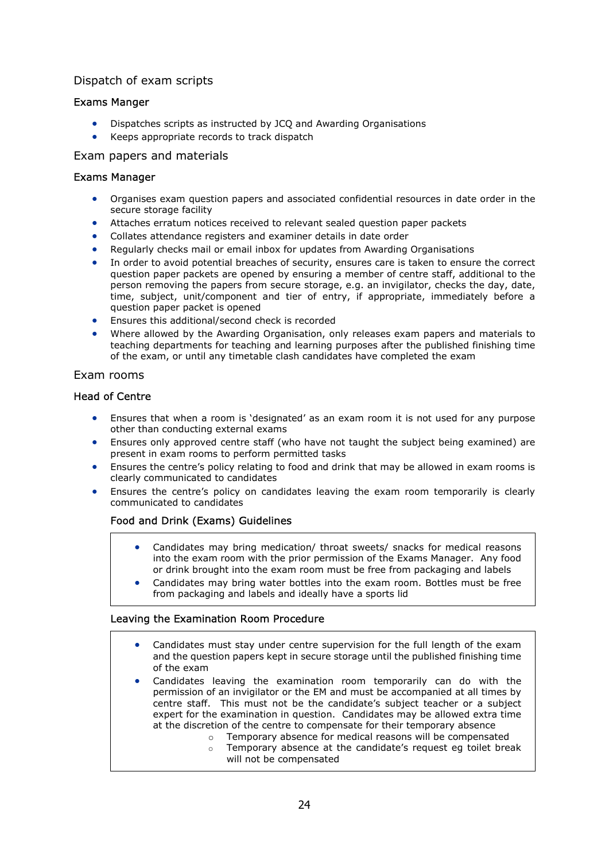## Dispatch of exam scripts

## Exams Manger

- Dispatches scripts as instructed by JCQ and Awarding Organisations
- Keeps appropriate records to track dispatch

### Exam papers and materials

#### Exams Manager

- Organises exam question papers and associated confidential resources in date order in the secure storage facility
- Attaches erratum notices received to relevant sealed question paper packets
- Collates attendance registers and examiner details in date order
- Regularly checks mail or email inbox for updates from Awarding Organisations
- In order to avoid potential breaches of security, ensures care is taken to ensure the correct question paper packets are opened by ensuring a member of centre staff, additional to the person removing the papers from secure storage, e.g. an invigilator, checks the day, date, time, subject, unit/component and tier of entry, if appropriate, immediately before a question paper packet is opened
- Ensures this additional/second check is recorded
- Where allowed by the Awarding Organisation, only releases exam papers and materials to teaching departments for teaching and learning purposes after the published finishing time of the exam, or until any timetable clash candidates have completed the exam

## Exam rooms

## Head of Centre

- Ensures that when a room is 'designated' as an exam room it is not used for any purpose other than conducting external exams
- Ensures only approved centre staff (who have not taught the subject being examined) are present in exam rooms to perform permitted tasks
- Ensures the centre's policy relating to food and drink that may be allowed in exam rooms is clearly communicated to candidates
- Ensures the centre's policy on candidates leaving the exam room temporarily is clearly communicated to candidates

## Food and Drink (Exams) Guidelines

- Candidates may bring medication/ throat sweets/ snacks for medical reasons into the exam room with the prior permission of the Exams Manager. Any food or drink brought into the exam room must be free from packaging and labels
- Candidates may bring water bottles into the exam room. Bottles must be free from packaging and labels and ideally have a sports lid

#### Leaving the Examination Room Procedure

- Candidates must stay under centre supervision for the full length of the exam and the question papers kept in secure storage until the published finishing time of the exam
- Candidates leaving the examination room temporarily can do with the permission of an invigilator or the EM and must be accompanied at all times by centre staff. This must not be the candidate's subject teacher or a subject expert for the examination in question. Candidates may be allowed extra time at the discretion of the centre to compensate for their temporary absence
	- o Temporary absence for medical reasons will be compensated
	- o Temporary absence at the candidate's request eg toilet break will not be compensated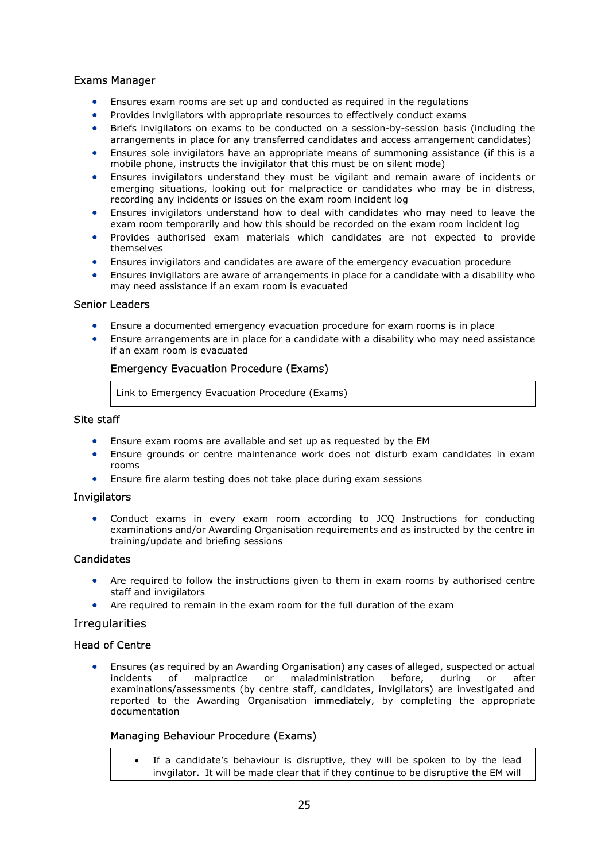## Exams Manager

- Ensures exam rooms are set up and conducted as required in the regulations
- Provides invigilators with appropriate resources to effectively conduct exams
- Briefs invigilators on exams to be conducted on a session-by-session basis (including the arrangements in place for any transferred candidates and access arrangement candidates)
- Ensures sole invigilators have an appropriate means of summoning assistance (if this is a mobile phone, instructs the invigilator that this must be on silent mode)
- Ensures invigilators understand they must be vigilant and remain aware of incidents or emerging situations, looking out for malpractice or candidates who may be in distress, recording any incidents or issues on the exam room incident log
- Ensures invigilators understand how to deal with candidates who may need to leave the exam room temporarily and how this should be recorded on the exam room incident log
- Provides authorised exam materials which candidates are not expected to provide themselves
- Ensures invigilators and candidates are aware of the emergency evacuation procedure
- Ensures invigilators are aware of arrangements in place for a candidate with a disability who may need assistance if an exam room is evacuated

#### Senior Leaders

- Ensure a documented emergency evacuation procedure for exam rooms is in place
- Ensure arrangements are in place for a candidate with a disability who may need assistance if an exam room is evacuated

#### Emergency Evacuation Procedure (Exams)

Link to Emergency Evacuation Procedure (Exams)

#### Site staff

- Ensure exam rooms are available and set up as requested by the EM
- Ensure grounds or centre maintenance work does not disturb exam candidates in exam rooms
- Ensure fire alarm testing does not take place during exam sessions

#### Invigilators

 Conduct exams in every exam room according to JCQ Instructions for conducting examinations and/or Awarding Organisation requirements and as instructed by the centre in training/update and briefing sessions

## **Candidates**

- Are required to follow the instructions given to them in exam rooms by authorised centre staff and invigilators
- Are required to remain in the exam room for the full duration of the exam

#### **Irregularities**

#### Head of Centre

**•** Ensures (as required by an Awarding Organisation) any cases of alleged, suspected or actual incidents of malpractice or maladministration before, during or after incidents of malpractice or maladministration before, during or after examinations/assessments (by centre staff, candidates, invigilators) are investigated and reported to the Awarding Organisation immediately, by completing the appropriate documentation

#### Managing Behaviour Procedure (Exams)

 If a candidate's behaviour is disruptive, they will be spoken to by the lead invgilator. It will be made clear that if they continue to be disruptive the EM will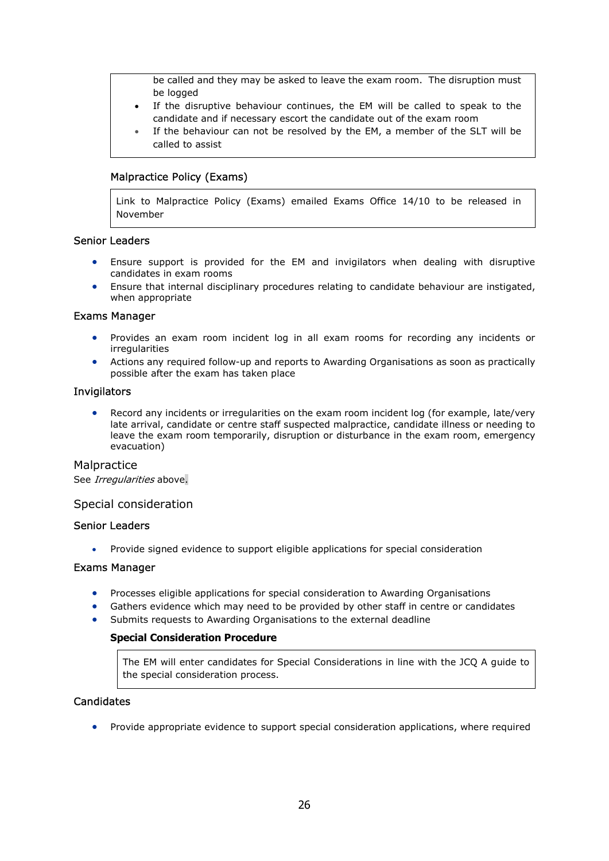be called and they may be asked to leave the exam room. The disruption must be logged

- If the disruptive behaviour continues, the EM will be called to speak to the candidate and if necessary escort the candidate out of the exam room
- If the behaviour can not be resolved by the EM, a member of the SLT will be called to assist

## Malpractice Policy (Exams)

Link to Malpractice Policy (Exams) emailed Exams Office 14/10 to be released in November

#### Senior Leaders

- Ensure support is provided for the EM and invigilators when dealing with disruptive candidates in exam rooms
- Ensure that internal disciplinary procedures relating to candidate behaviour are instigated, when appropriate

## Exams Manager

- Provides an exam room incident log in all exam rooms for recording any incidents or irregularities
- Actions any required follow-up and reports to Awarding Organisations as soon as practically possible after the exam has taken place

#### Invigilators

 Record any incidents or irregularities on the exam room incident log (for example, late/very late arrival, candidate or centre staff suspected malpractice, candidate illness or needing to leave the exam room temporarily, disruption or disturbance in the exam room, emergency evacuation)

## **Malpractice**

See Irregularities above.

#### Special consideration

#### Senior Leaders

Provide signed evidence to support eligible applications for special consideration

#### Exams Manager

- Processes eligible applications for special consideration to Awarding Organisations
- Gathers evidence which may need to be provided by other staff in centre or candidates
- Submits requests to Awarding Organisations to the external deadline

#### Special Consideration Procedure

The EM will enter candidates for Special Considerations in line with the JCQ A guide to the special consideration process.

## **Candidates**

• Provide appropriate evidence to support special consideration applications, where required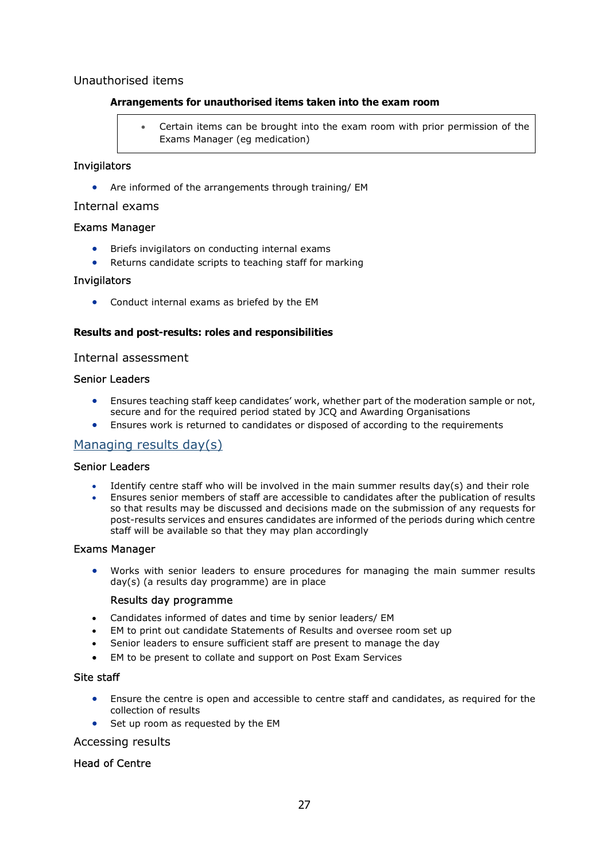## Unauthorised items

## Arrangements for unauthorised items taken into the exam room

 Certain items can be brought into the exam room with prior permission of the Exams Manager (eg medication)

### Invigilators

Are informed of the arrangements through training/ EM

### Internal exams

## Exams Manager

- **•** Briefs invigilators on conducting internal exams
- Returns candidate scripts to teaching staff for marking

## Invigilators

Conduct internal exams as briefed by the EM

## Results and post-results: roles and responsibilities

#### Internal assessment

## Senior Leaders

- Ensures teaching staff keep candidates' work, whether part of the moderation sample or not, secure and for the required period stated by JCQ and Awarding Organisations
- Ensures work is returned to candidates or disposed of according to the requirements

## Managing results day(s)

## Senior Leaders

- Identify centre staff who will be involved in the main summer results day(s) and their role
- Ensures senior members of staff are accessible to candidates after the publication of results so that results may be discussed and decisions made on the submission of any requests for post-results services and ensures candidates are informed of the periods during which centre staff will be available so that they may plan accordingly

#### Exams Manager

 Works with senior leaders to ensure procedures for managing the main summer results day(s) (a results day programme) are in place

#### Results day programme

- Candidates informed of dates and time by senior leaders/ EM
- EM to print out candidate Statements of Results and oversee room set up
- Senior leaders to ensure sufficient staff are present to manage the day
- EM to be present to collate and support on Post Exam Services

#### Site staff

- Ensure the centre is open and accessible to centre staff and candidates, as required for the collection of results
- Set up room as requested by the EM

## Accessing results

## Head of Centre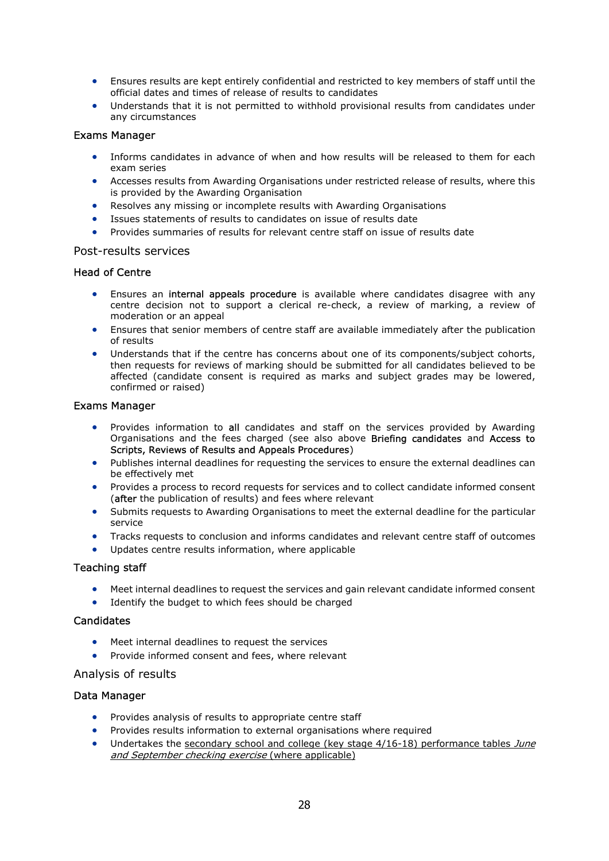- Ensures results are kept entirely confidential and restricted to key members of staff until the official dates and times of release of results to candidates
- Understands that it is not permitted to withhold provisional results from candidates under any circumstances

## Exams Manager

- Informs candidates in advance of when and how results will be released to them for each exam series
- Accesses results from Awarding Organisations under restricted release of results, where this is provided by the Awarding Organisation
- Resolves any missing or incomplete results with Awarding Organisations
- Issues statements of results to candidates on issue of results date
- Provides summaries of results for relevant centre staff on issue of results date

#### Post-results services

#### Head of Centre

- **Ensures an internal appeals procedure** is available where candidates disagree with any centre decision not to support a clerical re-check, a review of marking, a review of moderation or an appeal
- Ensures that senior members of centre staff are available immediately after the publication of results
- Understands that if the centre has concerns about one of its components/subject cohorts, then requests for reviews of marking should be submitted for all candidates believed to be affected (candidate consent is required as marks and subject grades may be lowered, confirmed or raised)

#### Exams Manager

- Provides information to all candidates and staff on the services provided by Awarding Organisations and the fees charged (see also above Briefing candidates and Access to Scripts, Reviews of Results and Appeals Procedures)
- Publishes internal deadlines for requesting the services to ensure the external deadlines can be effectively met
- Provides a process to record requests for services and to collect candidate informed consent (after the publication of results) and fees where relevant
- Submits requests to Awarding Organisations to meet the external deadline for the particular service
- Tracks requests to conclusion and informs candidates and relevant centre staff of outcomes
- Updates centre results information, where applicable

#### Teaching staff

- Meet internal deadlines to request the services and gain relevant candidate informed consent
- Identify the budget to which fees should be charged

#### **Candidates**

- Meet internal deadlines to request the services
- Provide informed consent and fees, where relevant

#### Analysis of results

#### Data Manager

- Provides analysis of results to appropriate centre staff
- Provides results information to external organisations where required
- Undertakes the secondary school and college (key stage  $4/16-18$ ) performance tables June and September checking exercise (where applicable)